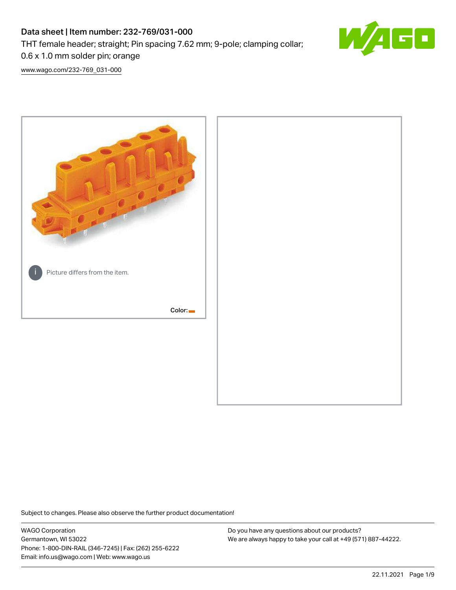# Data sheet | Item number: 232-769/031-000 THT female header; straight; Pin spacing 7.62 mm; 9-pole; clamping collar;



[www.wago.com/232-769\\_031-000](http://www.wago.com/232-769_031-000)

0.6 x 1.0 mm solder pin; orange



Subject to changes. Please also observe the further product documentation!

WAGO Corporation Germantown, WI 53022 Phone: 1-800-DIN-RAIL (346-7245) | Fax: (262) 255-6222 Email: info.us@wago.com | Web: www.wago.us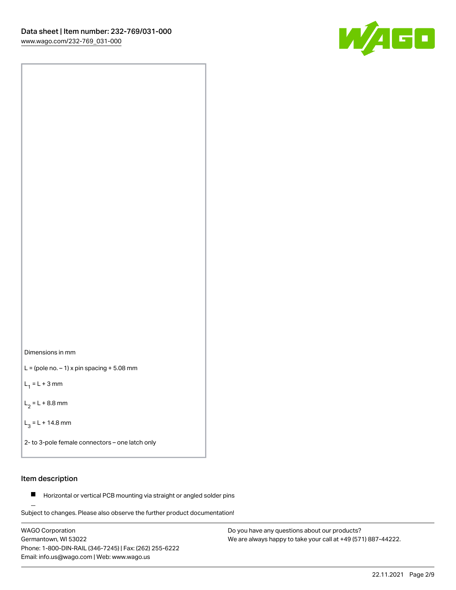



 $L =$  (pole no.  $-1$ ) x pin spacing  $+5.08$  mm

 $L_1 = L + 3$  mm

 $L_2 = L + 8.8$  mm

 $L_3 = L + 14.8$  mm

2- to 3-pole female connectors – one latch only

### Item description

**Horizontal or vertical PCB mounting via straight or angled solder pins** 

Subject to changes. Please also observe the further product documentation! For board-to-board and board-to-wire connections

WAGO Corporation Germantown, WI 53022 Phone: 1-800-DIN-RAIL (346-7245) | Fax: (262) 255-6222 Email: info.us@wago.com | Web: www.wago.us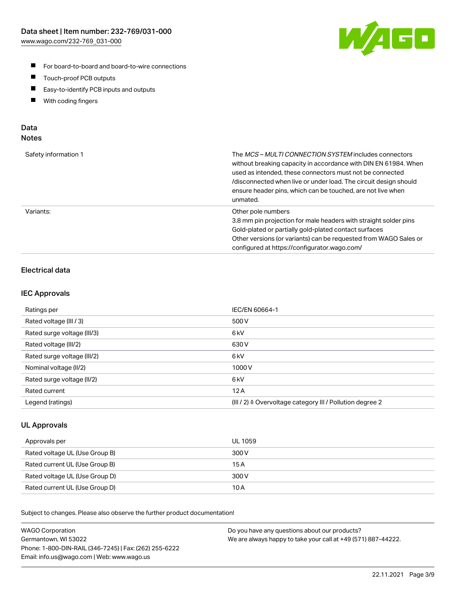

- For board-to-board and board-to-wire connections
- $\blacksquare$ Touch-proof PCB outputs
- $\blacksquare$ Easy-to-identify PCB inputs and outputs
- $\blacksquare$ With coding fingers

### Data **Notes**

| Safety information 1 | The <i>MCS – MULTI CONNECTION SYSTEM</i> includes connectors<br>without breaking capacity in accordance with DIN EN 61984. When<br>used as intended, these connectors must not be connected<br>/disconnected when live or under load. The circuit design should<br>ensure header pins, which can be touched, are not live when<br>unmated. |
|----------------------|--------------------------------------------------------------------------------------------------------------------------------------------------------------------------------------------------------------------------------------------------------------------------------------------------------------------------------------------|
| Variants:            | Other pole numbers<br>3.8 mm pin projection for male headers with straight solder pins<br>Gold-plated or partially gold-plated contact surfaces<br>Other versions (or variants) can be requested from WAGO Sales or<br>configured at https://configurator.wago.com/                                                                        |

## Electrical data

#### IEC Approvals

| Ratings per                 | IEC/EN 60664-1                                                        |
|-----------------------------|-----------------------------------------------------------------------|
| Rated voltage (III / 3)     | 500 V                                                                 |
| Rated surge voltage (III/3) | 6 <sub>kV</sub>                                                       |
| Rated voltage (III/2)       | 630 V                                                                 |
| Rated surge voltage (III/2) | 6 <sub>kV</sub>                                                       |
| Nominal voltage (II/2)      | 1000 V                                                                |
| Rated surge voltage (II/2)  | 6 <sub>kV</sub>                                                       |
| Rated current               | 12A                                                                   |
| Legend (ratings)            | $(III / 2)$ $\triangle$ Overvoltage category III / Pollution degree 2 |

#### UL Approvals

| Approvals per                  | UL 1059 |
|--------------------------------|---------|
| Rated voltage UL (Use Group B) | 300 V   |
| Rated current UL (Use Group B) | 15 A    |
| Rated voltage UL (Use Group D) | 300 V   |
| Rated current UL (Use Group D) | 10 A    |

| <b>WAGO Corporation</b>                                | Do you have any questions about our products?                 |
|--------------------------------------------------------|---------------------------------------------------------------|
| Germantown, WI 53022                                   | We are always happy to take your call at +49 (571) 887-44222. |
| Phone: 1-800-DIN-RAIL (346-7245)   Fax: (262) 255-6222 |                                                               |
| Email: info.us@wago.com   Web: www.wago.us             |                                                               |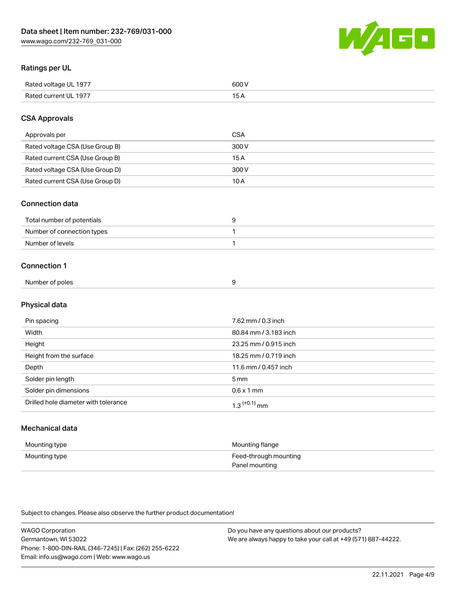

### Ratings per UL

| Rated voltage UL 1977 | 600 \<br>.   |
|-----------------------|--------------|
| Rated current UL 1977 | . . <i>.</i> |

### CSA Approvals

| Approvals per                   | CSA   |
|---------------------------------|-------|
| Rated voltage CSA (Use Group B) | 300 V |
| Rated current CSA (Use Group B) | 15 A  |
| Rated voltage CSA (Use Group D) | 300 V |
| Rated current CSA (Use Group D) | 10 A  |

#### Connection data

| Total number of potentials |  |
|----------------------------|--|
| Number of connection types |  |
| Number of levels           |  |

#### Connection 1

| Number of poles |  |  |
|-----------------|--|--|
|                 |  |  |

# Physical data

| Pin spacing                          | 7.62 mm / 0.3 inch    |
|--------------------------------------|-----------------------|
| Width                                | 80.84 mm / 3.183 inch |
| Height                               | 23.25 mm / 0.915 inch |
| Height from the surface              | 18.25 mm / 0.719 inch |
| Depth                                | 11.6 mm / 0.457 inch  |
| Solder pin length                    | 5 <sub>mm</sub>       |
| Solder pin dimensions                | $0.6 \times 1$ mm     |
| Drilled hole diameter with tolerance | $1.3$ $(+0.1)$ mm     |

# Mechanical data

| Mounting type | Mounting flange                         |
|---------------|-----------------------------------------|
| Mounting type | Feed-through mounting<br>Panel mounting |

| <b>WAGO Corporation</b>                                | Do you have any questions about our products?                 |
|--------------------------------------------------------|---------------------------------------------------------------|
| Germantown, WI 53022                                   | We are always happy to take your call at +49 (571) 887-44222. |
| Phone: 1-800-DIN-RAIL (346-7245)   Fax: (262) 255-6222 |                                                               |
| Email: info.us@wago.com   Web: www.wago.us             |                                                               |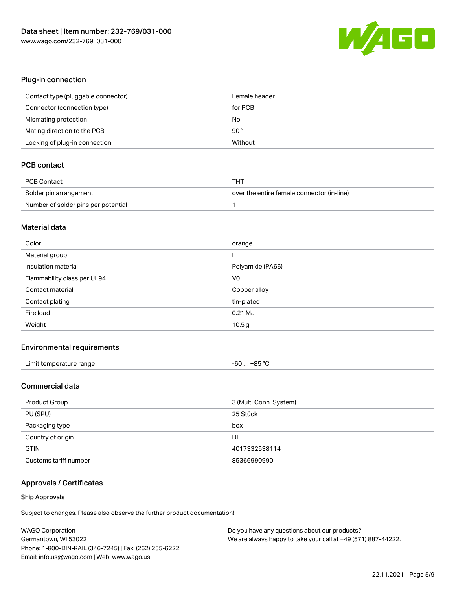

### Plug-in connection

| Contact type (pluggable connector) | Female header |
|------------------------------------|---------------|
| Connector (connection type)        | for PCB       |
| Mismating protection               | No            |
| Mating direction to the PCB        | $90^{\circ}$  |
| Locking of plug-in connection      | Without       |

### PCB contact

| PCB Contact                         | тнт                                        |
|-------------------------------------|--------------------------------------------|
| Solder pin arrangement              | over the entire female connector (in-line) |
| Number of solder pins per potential |                                            |

#### Material data

| Color                       | orange           |
|-----------------------------|------------------|
| Material group              |                  |
| Insulation material         | Polyamide (PA66) |
| Flammability class per UL94 | V <sub>0</sub>   |
|                             |                  |
| Contact material            | Copper alloy     |
| Contact plating             | tin-plated       |
| Fire load                   | $0.21$ MJ        |

#### Environmental requirements

| Limit temperature range | $-60+85 °C$ |
|-------------------------|-------------|
|-------------------------|-------------|

### Commercial data

| Product Group         | 3 (Multi Conn. System) |
|-----------------------|------------------------|
| PU (SPU)              | 25 Stück               |
| Packaging type        | box                    |
| Country of origin     | DE                     |
| <b>GTIN</b>           | 4017332538114          |
| Customs tariff number | 85366990990            |

# Approvals / Certificates

#### Ship Approvals

| <b>WAGO Corporation</b>                                | Do you have any questions about our products?                 |
|--------------------------------------------------------|---------------------------------------------------------------|
| Germantown, WI 53022                                   | We are always happy to take your call at +49 (571) 887-44222. |
| Phone: 1-800-DIN-RAIL (346-7245)   Fax: (262) 255-6222 |                                                               |
| Email: info.us@wago.com   Web: www.wago.us             |                                                               |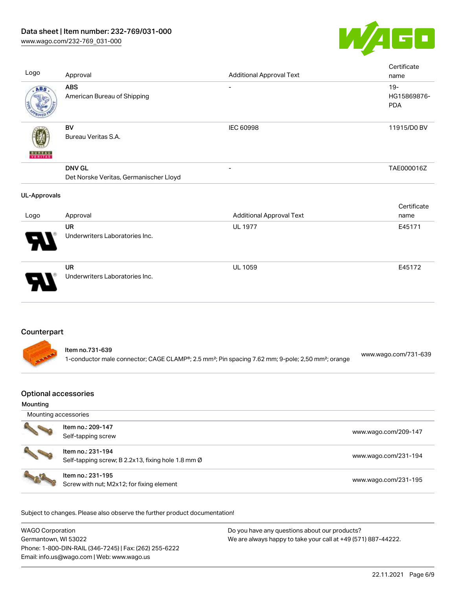

| Logo                | Approval                                                                                                                                     | <b>Additional Approval Text</b> | Certificate<br>name                 |
|---------------------|----------------------------------------------------------------------------------------------------------------------------------------------|---------------------------------|-------------------------------------|
| ABS                 | <b>ABS</b><br>American Bureau of Shipping                                                                                                    | $\blacksquare$                  | $19 -$<br>HG15869876-<br><b>PDA</b> |
| F R H T A S         | BV<br>Bureau Veritas S.A.                                                                                                                    | IEC 60998                       | 11915/D0 BV                         |
|                     | <b>DNV GL</b><br>Det Norske Veritas, Germanischer Lloyd                                                                                      |                                 | TAE000016Z                          |
| <b>UL-Approvals</b> |                                                                                                                                              |                                 |                                     |
| Logo                | Approval                                                                                                                                     | <b>Additional Approval Text</b> | Certificate<br>name                 |
|                     | <b>UR</b><br>Underwriters Laboratories Inc.                                                                                                  | <b>UL 1977</b>                  | E45171                              |
|                     | <b>UR</b><br>Underwriters Laboratories Inc.                                                                                                  | <b>UL 1059</b>                  | E45172                              |
| Counterpart         |                                                                                                                                              |                                 |                                     |
|                     | Item no.731-639<br>1-conductor male connector; CAGE CLAMP®; 2.5 mm <sup>2</sup> ; Pin spacing 7.62 mm; 9-pole; 2,50 mm <sup>2</sup> ; orange |                                 | www.wago.com/731-639                |

# Optional accessories

#### Mounting

| Mounting accessories |                                                                         |                      |  |
|----------------------|-------------------------------------------------------------------------|----------------------|--|
|                      | Item no.: 209-147<br>Self-tapping screw                                 | www.wago.com/209-147 |  |
|                      | Item no.: 231-194<br>Self-tapping screw; B 2.2x13, fixing hole 1.8 mm Ø | www.wago.com/231-194 |  |
|                      | Item no.: 231-195<br>Screw with nut; M2x12; for fixing element          | www.wago.com/231-195 |  |

| <b>WAGO Corporation</b>                                | Do you have any questions about our products?                 |
|--------------------------------------------------------|---------------------------------------------------------------|
| Germantown, WI 53022                                   | We are always happy to take your call at +49 (571) 887-44222. |
| Phone: 1-800-DIN-RAIL (346-7245)   Fax: (262) 255-6222 |                                                               |
| Email: info.us@wago.com   Web: www.wago.us             |                                                               |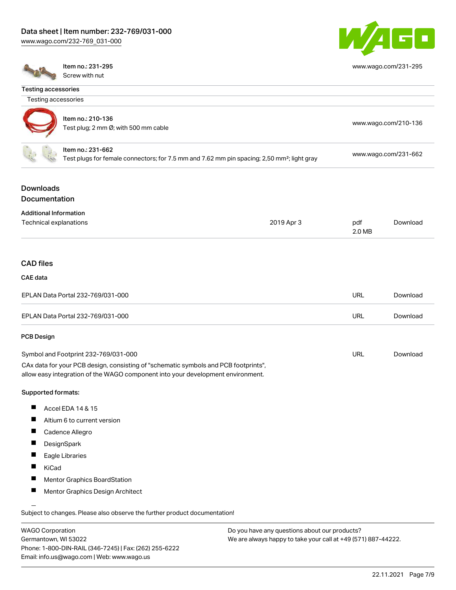[www.wago.com/232-769\\_031-000](http://www.wago.com/232-769_031-000)



[www.wago.com/231-295](http://www.wago.com/231-295)

Item no.: 231-295 Screw with nut

#### Testing accessories

| Testing accessories                                                                                                                                                    |                                      |                      |                      |          |
|------------------------------------------------------------------------------------------------------------------------------------------------------------------------|--------------------------------------|----------------------|----------------------|----------|
| Item no.: 210-136<br>Test plug; 2 mm Ø; with 500 mm cable                                                                                                              |                                      |                      | www.wago.com/210-136 |          |
| Item no.: 231-662<br>Test plugs for female connectors; for 7.5 mm and 7.62 mm pin spacing; 2,50 mm <sup>2</sup> ; light gray                                           |                                      | www.wago.com/231-662 |                      |          |
| <b>Downloads</b><br>Documentation                                                                                                                                      |                                      |                      |                      |          |
| <b>Additional Information</b>                                                                                                                                          |                                      |                      |                      |          |
| Technical explanations                                                                                                                                                 |                                      | 2019 Apr 3           | pdf<br>2.0 MB        | Download |
| <b>CAD</b> files                                                                                                                                                       |                                      |                      |                      |          |
| <b>CAE</b> data                                                                                                                                                        |                                      |                      |                      |          |
|                                                                                                                                                                        | EPLAN Data Portal 232-769/031-000    |                      | <b>URL</b>           | Download |
|                                                                                                                                                                        | EPLAN Data Portal 232-769/031-000    |                      | <b>URL</b>           | Download |
| PCB Design                                                                                                                                                             |                                      |                      |                      |          |
|                                                                                                                                                                        | Symbol and Footprint 232-769/031-000 |                      | <b>URL</b>           | Download |
| CAx data for your PCB design, consisting of "schematic symbols and PCB footprints",<br>allow easy integration of the WAGO component into your development environment. |                                      |                      |                      |          |
| Supported formats:                                                                                                                                                     |                                      |                      |                      |          |
|                                                                                                                                                                        | Accel EDA 14 & 15                    |                      |                      |          |
|                                                                                                                                                                        | Altium 6 to current version          |                      |                      |          |
|                                                                                                                                                                        | Cadence Allegro                      |                      |                      |          |
| DesignSpark                                                                                                                                                            |                                      |                      |                      |          |
| Eagle Libraries                                                                                                                                                        |                                      |                      |                      |          |
| KiCad                                                                                                                                                                  |                                      |                      |                      |          |
|                                                                                                                                                                        | Mentor Graphics BoardStation         |                      |                      |          |
| $\blacksquare$                                                                                                                                                         | Mentor Graphics Design Architect     |                      |                      |          |
|                                                                                                                                                                        |                                      |                      |                      |          |

Subject to changes. Please also observe the further product documentation!

WAGO Corporation Germantown, WI 53022 Phone: 1-800-DIN-RAIL (346-7245) | Fax: (262) 255-6222 Email: info.us@wago.com | Web: www.wago.us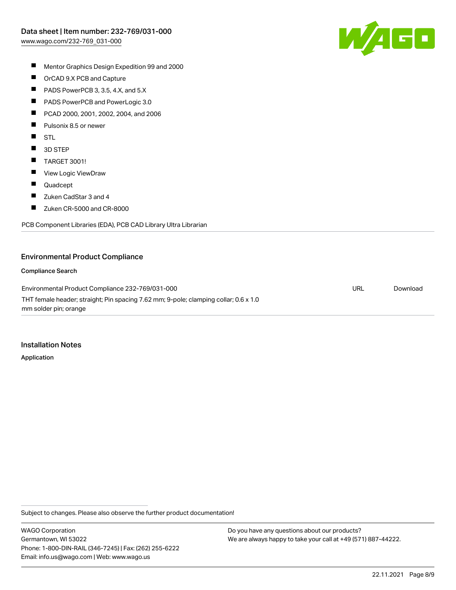

- $\blacksquare$ Mentor Graphics Design Expedition 99 and 2000
- $\blacksquare$ OrCAD 9.X PCB and Capture
- $\blacksquare$ PADS PowerPCB 3, 3.5, 4.X, and 5.X
- $\blacksquare$ PADS PowerPCB and PowerLogic 3.0
- $\blacksquare$ PCAD 2000, 2001, 2002, 2004, and 2006
- $\blacksquare$ Pulsonix 8.5 or newer
- $\blacksquare$ STL
- $\blacksquare$ 3D STEP
- $\blacksquare$ TARGET 3001!
- $\blacksquare$ View Logic ViewDraw
- $\blacksquare$ Quadcept
- $\blacksquare$ Zuken CadStar 3 and 4
- $\blacksquare$ Zuken CR-5000 and CR-8000

PCB Component Libraries (EDA), PCB CAD Library Ultra Librarian

#### Environmental Product Compliance

#### Compliance Search

Environmental Product Compliance 232-769/031-000 THT female header; straight; Pin spacing 7.62 mm; 9-pole; clamping collar; 0.6 x 1.0 mm solder pin; orange URL [Download](https://www.wago.com/global/d/ComplianceLinkMediaContainer_232-769_031-000)

#### Installation Notes

Application

Subject to changes. Please also observe the further product documentation!

WAGO Corporation Germantown, WI 53022 Phone: 1-800-DIN-RAIL (346-7245) | Fax: (262) 255-6222 Email: info.us@wago.com | Web: www.wago.us